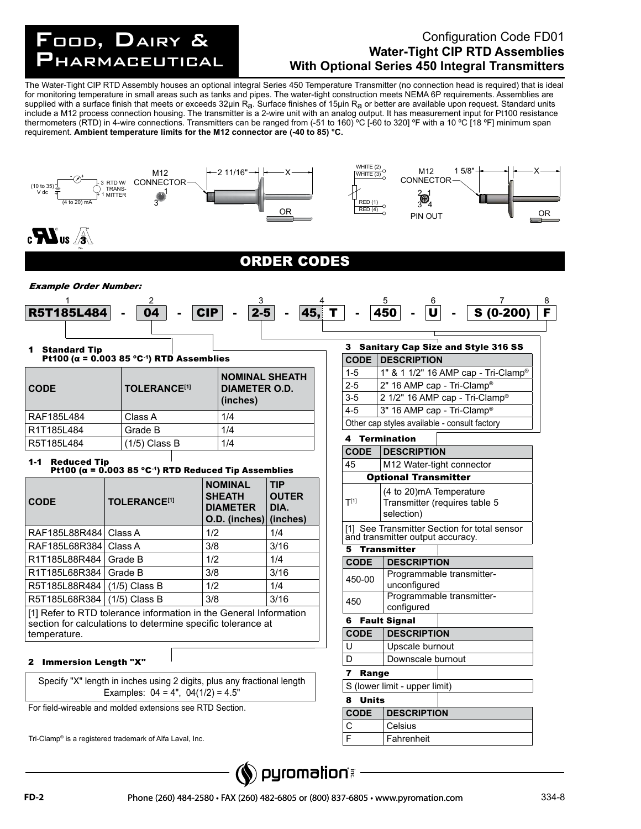## FOOD, DAIRY Food, Dairy & Pharmaceutical

## Configuration Code FD01 **Water-Tight CIP RTD Assemblies With Optional Series 450 Integral Transmitters**

The Water-Tight CIP RTD Assembly houses an optional integral Series 450 Temperature Transmitter (no connection head is required) that is ideal for monitoring temperature in small areas such as tanks and pipes. The water-tight construction meets NEMA 6P requirements. Assemblies are supplied with a surface finish that meets or exceeds 32µin  $R_a$ . Surface finishes of 15µin  $R_a$  or better are available upon request. Standard units include a M12 process connection housing. The transmitter is a 2-wire unit with an analog output. It has measurement input for Pt100 resistance thermometers (RTD) in 4-wire connections. Transmitters can be ranged from (-51 to 160) ºC [-60 to 320] ºF with a 10 ºC [18 ºF] minimum span requirement. **Ambient temperature limits for the M12 connector are (-40 to 85) °C.**



Tri-Clamp® is a registered trademark of Alfa Laval, Inc.